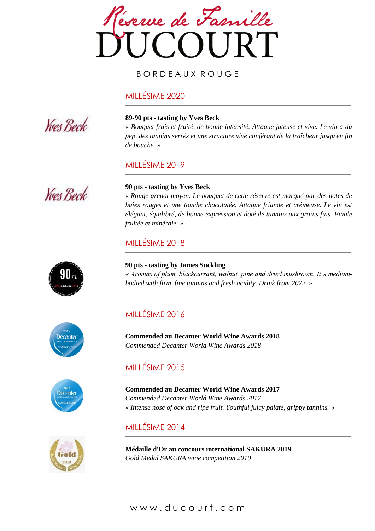

#### B O R D E A U X R O U G E

#### MILLÉSIME 2020



#### **89-90 pts - tasting by Yves Beck**

*« Bouquet frais et fruité, de bonne intensité. Attaque juteuse et vive. Le vin a du pep, des tannins serrés et une structure vive conférant de la fraîcheur jusqu'en fin de bouche. »*

## MILLÉSIME 2019



#### **90 pts - tasting by Yves Beck**

*« Rouge grenat moyen. Le bouquet de cette réserve est marqué par des notes de*  baies rouges et une touche chocolatée. Attaque friande et crémeuse. Le vin est *élégant, équilibré, de bonne expression et doté de tannins aux grains fins. Finale fruitée et minérale. »*

## MILLÉSIME 2018



**90 pts - tasting by James Suckling** *« Aromas of plum, blackcurrant, walnut, pine and dried mushroom. It's mediumbodied with firm, fine tannins and fresh acidity. Drink from 2022. »*

### MILLÉSIME 2016

**Commended au Decanter World Wine Awards 2018** *Commended Decanter World Wine Awards 2018*

## MILLÉSIME 2015

**Commended au Decanter World Wine Awards 2017** *Commended Decanter World Wine Awards 2017 « Intense nose of oak and ripe fruit. Youthful juicy palate, grippy tannins. »*

### MILLÉSIME 2014

**Médaille d'Or au concours international SAKURA 2019** *Gold Medal SAKURA wine competition 2019*

# Decanter